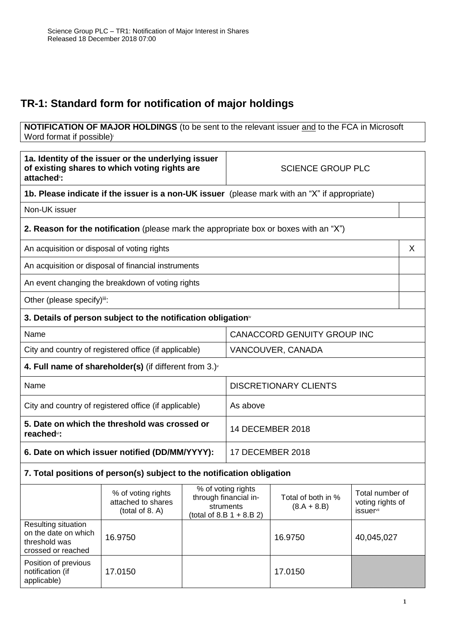## **TR-1: Standard form for notification of major holdings**

## **NOTIFICATION OF MAJOR HOLDINGS** (to be sent to the relevant issuer and to the FCA in Microsoft Word format if possible)

| 1a. Identity of the issuer or the underlying issuer<br>of existing shares to which voting rights are<br>attached <sup>®</sup> : |                                                                                              | <b>SCIENCE GROUP PLC</b>                                                                |                                                                                               |                                     |                                                                     |   |
|---------------------------------------------------------------------------------------------------------------------------------|----------------------------------------------------------------------------------------------|-----------------------------------------------------------------------------------------|-----------------------------------------------------------------------------------------------|-------------------------------------|---------------------------------------------------------------------|---|
|                                                                                                                                 |                                                                                              |                                                                                         | 1b. Please indicate if the issuer is a non-UK issuer (please mark with an "X" if appropriate) |                                     |                                                                     |   |
| Non-UK issuer                                                                                                                   |                                                                                              |                                                                                         |                                                                                               |                                     |                                                                     |   |
|                                                                                                                                 | <b>2. Reason for the notification</b> (please mark the appropriate box or boxes with an "X") |                                                                                         |                                                                                               |                                     |                                                                     |   |
| An acquisition or disposal of voting rights                                                                                     |                                                                                              |                                                                                         |                                                                                               |                                     |                                                                     | X |
|                                                                                                                                 | An acquisition or disposal of financial instruments                                          |                                                                                         |                                                                                               |                                     |                                                                     |   |
|                                                                                                                                 | An event changing the breakdown of voting rights                                             |                                                                                         |                                                                                               |                                     |                                                                     |   |
| Other (please specify)iii:                                                                                                      |                                                                                              |                                                                                         |                                                                                               |                                     |                                                                     |   |
|                                                                                                                                 | 3. Details of person subject to the notification obligation <sup>®</sup>                     |                                                                                         |                                                                                               |                                     |                                                                     |   |
| Name                                                                                                                            |                                                                                              |                                                                                         | <b>CANACCORD GENUITY GROUP INC</b>                                                            |                                     |                                                                     |   |
|                                                                                                                                 | City and country of registered office (if applicable)                                        |                                                                                         | VANCOUVER, CANADA                                                                             |                                     |                                                                     |   |
|                                                                                                                                 | 4. Full name of shareholder(s) (if different from $3.$ ) $\sqrt{ }$                          |                                                                                         |                                                                                               |                                     |                                                                     |   |
| Name                                                                                                                            |                                                                                              |                                                                                         | <b>DISCRETIONARY CLIENTS</b>                                                                  |                                     |                                                                     |   |
| City and country of registered office (if applicable)                                                                           |                                                                                              |                                                                                         | As above                                                                                      |                                     |                                                                     |   |
| 5. Date on which the threshold was crossed or<br>reached <sup>vi</sup> :                                                        |                                                                                              |                                                                                         | <b>14 DECEMBER 2018</b>                                                                       |                                     |                                                                     |   |
| 6. Date on which issuer notified (DD/MM/YYYY):                                                                                  |                                                                                              |                                                                                         | <b>17 DECEMBER 2018</b>                                                                       |                                     |                                                                     |   |
|                                                                                                                                 | 7. Total positions of person(s) subject to the notification obligation                       |                                                                                         |                                                                                               |                                     |                                                                     |   |
|                                                                                                                                 | % of voting rights<br>attached to shares<br>(total of 8. A)                                  | % of voting rights<br>through financial in-<br>struments<br>(total of 8.B $1 + 8.B 2$ ) |                                                                                               | Total of both in %<br>$(8.A + 8.B)$ | Total number of<br>voting rights of<br><i>issuer</i> <sup>vii</sup> |   |
| Resulting situation<br>on the date on which<br>threshold was<br>crossed or reached                                              | 16.9750                                                                                      |                                                                                         |                                                                                               | 16.9750                             | 40,045,027                                                          |   |
| Position of previous<br>notification (if<br>applicable)                                                                         | 17.0150                                                                                      |                                                                                         |                                                                                               | 17.0150                             |                                                                     |   |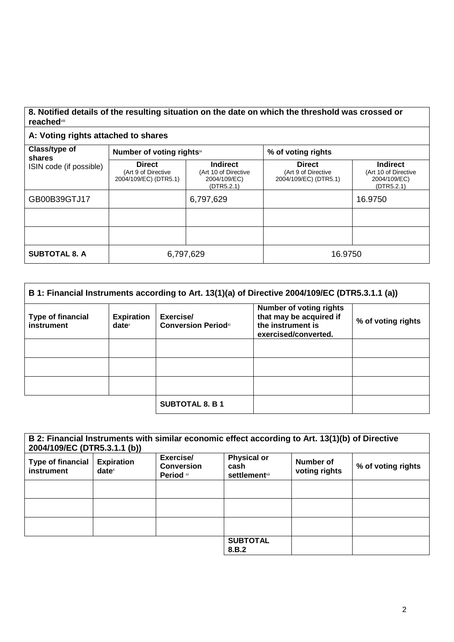## **8. Notified details of the resulting situation on the date on which the threshold was crossed or reached**viii

## **A: Voting rights attached to shares**

| Class/type of<br>shares<br>ISIN code (if possible) | Number of voting rightsix                                     |                                                                       | % of voting rights                                            |                                                                       |  |
|----------------------------------------------------|---------------------------------------------------------------|-----------------------------------------------------------------------|---------------------------------------------------------------|-----------------------------------------------------------------------|--|
|                                                    | <b>Direct</b><br>(Art 9 of Directive<br>2004/109/EC) (DTR5.1) | <b>Indirect</b><br>(Art 10 of Directive<br>2004/109/EC)<br>(DTR5.2.1) | <b>Direct</b><br>(Art 9 of Directive<br>2004/109/EC) (DTR5.1) | <b>Indirect</b><br>(Art 10 of Directive<br>2004/109/EC)<br>(DTR5.2.1) |  |
| GB00B39GTJ17                                       |                                                               | 6,797,629                                                             |                                                               | 16.9750                                                               |  |
|                                                    |                                                               |                                                                       |                                                               |                                                                       |  |
|                                                    |                                                               |                                                                       |                                                               |                                                                       |  |
| <b>SUBTOTAL 8. A</b>                               | 6,797,629                                                     |                                                                       | 16.9750                                                       |                                                                       |  |

| B 1: Financial Instruments according to Art. 13(1)(a) of Directive 2004/109/EC (DTR5.3.1.1 (a)) |                                        |                                         |                                                                                                        |                    |
|-------------------------------------------------------------------------------------------------|----------------------------------------|-----------------------------------------|--------------------------------------------------------------------------------------------------------|--------------------|
| <b>Type of financial</b><br>instrument                                                          | <b>Expiration</b><br>date <sup>x</sup> | Exercise/<br><b>Conversion Periodxi</b> | <b>Number of voting rights</b><br>that may be acquired if<br>the instrument is<br>exercised/converted. | % of voting rights |
|                                                                                                 |                                        |                                         |                                                                                                        |                    |
|                                                                                                 |                                        |                                         |                                                                                                        |                    |
|                                                                                                 |                                        |                                         |                                                                                                        |                    |
|                                                                                                 |                                        | <b>SUBTOTAL 8. B 1</b>                  |                                                                                                        |                    |

| B 2: Financial Instruments with similar economic effect according to Art. 13(1)(b) of Directive<br>2004/109/EC (DTR5.3.1.1 (b)) |                                                        |                                             |                                                     |                            |                    |
|---------------------------------------------------------------------------------------------------------------------------------|--------------------------------------------------------|---------------------------------------------|-----------------------------------------------------|----------------------------|--------------------|
| <b>Type of financial</b><br>instrument                                                                                          | <b>Expiration</b><br>$date^{\scriptscriptstyle\times}$ | Exercise/<br><b>Conversion</b><br>Period xi | <b>Physical or</b><br>cash<br><b>settlement</b> xii | Number of<br>voting rights | % of voting rights |
|                                                                                                                                 |                                                        |                                             |                                                     |                            |                    |
|                                                                                                                                 |                                                        |                                             |                                                     |                            |                    |
|                                                                                                                                 |                                                        |                                             |                                                     |                            |                    |
|                                                                                                                                 |                                                        |                                             | <b>SUBTOTAL</b><br>8.B.2                            |                            |                    |